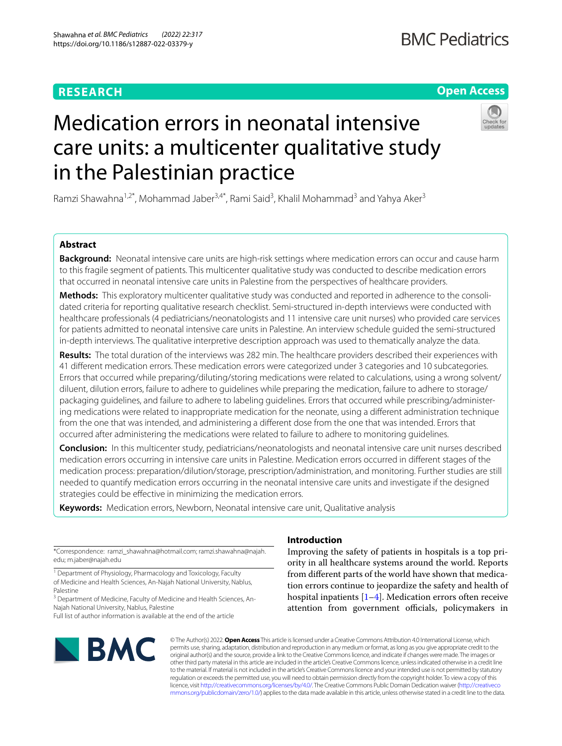# **RESEARCH**

# **Open Access**



# Medication errors in neonatal intensive care units: a multicenter qualitative study in the Palestinian practice

Ramzi Shawahna<sup>1,2\*</sup>, Mohammad Jaber<sup>3,4\*</sup>, Rami Said<sup>3</sup>, Khalil Mohammad<sup>3</sup> and Yahya Aker<sup>3</sup>

# **Abstract**

**Background:** Neonatal intensive care units are high-risk settings where medication errors can occur and cause harm to this fragile segment of patients. This multicenter qualitative study was conducted to describe medication errors that occurred in neonatal intensive care units in Palestine from the perspectives of healthcare providers.

**Methods:** This exploratory multicenter qualitative study was conducted and reported in adherence to the consolidated criteria for reporting qualitative research checklist. Semi-structured in-depth interviews were conducted with healthcare professionals (4 pediatricians/neonatologists and 11 intensive care unit nurses) who provided care services for patients admitted to neonatal intensive care units in Palestine. An interview schedule guided the semi-structured in-depth interviews. The qualitative interpretive description approach was used to thematically analyze the data.

**Results:** The total duration of the interviews was 282 min. The healthcare providers described their experiences with 41 diferent medication errors. These medication errors were categorized under 3 categories and 10 subcategories. Errors that occurred while preparing/diluting/storing medications were related to calculations, using a wrong solvent/ diluent, dilution errors, failure to adhere to guidelines while preparing the medication, failure to adhere to storage/ packaging guidelines, and failure to adhere to labeling guidelines. Errors that occurred while prescribing/administering medications were related to inappropriate medication for the neonate, using a diferent administration technique from the one that was intended, and administering a diferent dose from the one that was intended. Errors that occurred after administering the medications were related to failure to adhere to monitoring guidelines.

**Conclusion:** In this multicenter study, pediatricians/neonatologists and neonatal intensive care unit nurses described medication errors occurring in intensive care units in Palestine. Medication errors occurred in diferent stages of the medication process: preparation/dilution/storage, prescription/administration, and monitoring. Further studies are still needed to quantify medication errors occurring in the neonatal intensive care units and investigate if the designed strategies could be efective in minimizing the medication errors.

**Keywords:** Medication errors, Newborn, Neonatal intensive care unit, Qualitative analysis

\*Correspondence: ramzi\_shawahna@hotmail.com; ramzi.shawahna@najah. edu; m.jaber@najah.edu

<sup>1</sup> Department of Physiology, Pharmacology and Toxicology, Faculty of Medicine and Health Sciences, An-Najah National University, Nablus, Palestine

<sup>3</sup> Department of Medicine, Faculty of Medicine and Health Sciences, An-Najah National University, Nablus, Palestine

Full list of author information is available at the end of the article



# **Introduction**

Improving the safety of patients in hospitals is a top priority in all healthcare systems around the world. Reports from diferent parts of the world have shown that medication errors continue to jeopardize the safety and health of hospital inpatients [[1–](#page-9-0)[4\]](#page-9-1). Medication errors often receive attention from government officials, policymakers in

© The Author(s) 2022. **Open Access** This article is licensed under a Creative Commons Attribution 4.0 International License, which permits use, sharing, adaptation, distribution and reproduction in any medium or format, as long as you give appropriate credit to the original author(s) and the source, provide a link to the Creative Commons licence, and indicate if changes were made. The images or other third party material in this article are included in the article's Creative Commons licence, unless indicated otherwise in a credit line to the material. If material is not included in the article's Creative Commons licence and your intended use is not permitted by statutory regulation or exceeds the permitted use, you will need to obtain permission directly from the copyright holder. To view a copy of this licence, visit [http://creativecommons.org/licenses/by/4.0/.](http://creativecommons.org/licenses/by/4.0/) The Creative Commons Public Domain Dedication waiver ([http://creativeco](http://creativecommons.org/publicdomain/zero/1.0/) [mmons.org/publicdomain/zero/1.0/](http://creativecommons.org/publicdomain/zero/1.0/)) applies to the data made available in this article, unless otherwise stated in a credit line to the data.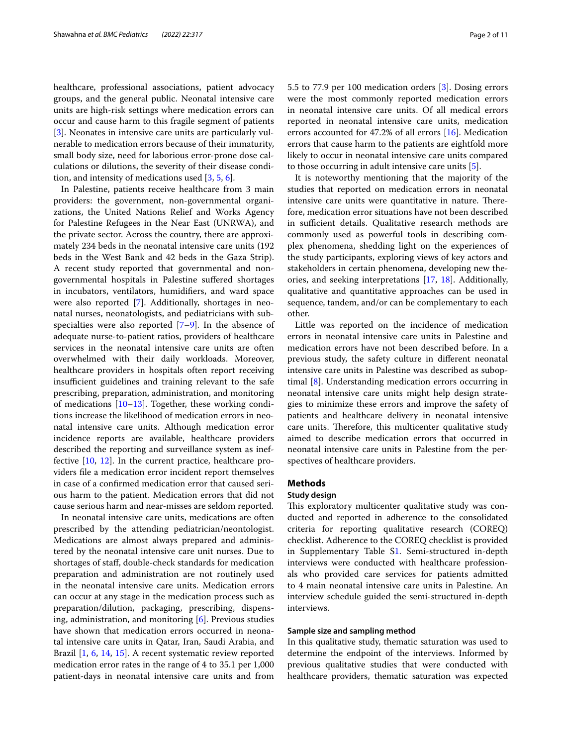healthcare, professional associations, patient advocacy groups, and the general public. Neonatal intensive care units are high-risk settings where medication errors can occur and cause harm to this fragile segment of patients [[3\]](#page-9-2). Neonates in intensive care units are particularly vulnerable to medication errors because of their immaturity, small body size, need for laborious error-prone dose calculations or dilutions, the severity of their disease condition, and intensity of medications used [[3,](#page-9-2) [5](#page-9-3), [6\]](#page-9-4).

In Palestine, patients receive healthcare from 3 main providers: the government, non-governmental organizations, the United Nations Relief and Works Agency for Palestine Refugees in the Near East (UNRWA), and the private sector. Across the country, there are approximately 234 beds in the neonatal intensive care units (192 beds in the West Bank and 42 beds in the Gaza Strip). A recent study reported that governmental and nongovernmental hospitals in Palestine sufered shortages in incubators, ventilators, humidifers, and ward space were also reported [\[7](#page-9-5)]. Additionally, shortages in neonatal nurses, neonatologists, and pediatricians with subspecialties were also reported  $[7-9]$  $[7-9]$ . In the absence of adequate nurse-to-patient ratios, providers of healthcare services in the neonatal intensive care units are often overwhelmed with their daily workloads. Moreover, healthcare providers in hospitals often report receiving insufficient guidelines and training relevant to the safe prescribing, preparation, administration, and monitoring of medications  $[10-13]$  $[10-13]$  $[10-13]$ . Together, these working conditions increase the likelihood of medication errors in neonatal intensive care units. Although medication error incidence reports are available, healthcare providers described the reporting and surveillance system as ineffective [\[10](#page-9-7), [12\]](#page-9-9). In the current practice, healthcare providers fle a medication error incident report themselves in case of a confrmed medication error that caused serious harm to the patient. Medication errors that did not cause serious harm and near-misses are seldom reported.

In neonatal intensive care units, medications are often prescribed by the attending pediatrician/neontologist. Medications are almost always prepared and administered by the neonatal intensive care unit nurses. Due to shortages of staf, double-check standards for medication preparation and administration are not routinely used in the neonatal intensive care units. Medication errors can occur at any stage in the medication process such as preparation/dilution, packaging, prescribing, dispensing, administration, and monitoring [[6\]](#page-9-4). Previous studies have shown that medication errors occurred in neonatal intensive care units in Qatar, Iran, Saudi Arabia, and Brazil [[1,](#page-9-0) [6,](#page-9-4) [14,](#page-9-10) [15\]](#page-9-11). A recent systematic review reported medication error rates in the range of 4 to 35.1 per 1,000 patient-days in neonatal intensive care units and from 5.5 to 77.9 per 100 medication orders [\[3](#page-9-2)]. Dosing errors were the most commonly reported medication errors in neonatal intensive care units. Of all medical errors reported in neonatal intensive care units, medication errors accounted for 47.2% of all errors [\[16](#page-9-12)]. Medication errors that cause harm to the patients are eightfold more likely to occur in neonatal intensive care units compared to those occurring in adult intensive care units [[5\]](#page-9-3).

It is noteworthy mentioning that the majority of the studies that reported on medication errors in neonatal intensive care units were quantitative in nature. Therefore, medication error situations have not been described in sufficient details. Qualitative research methods are commonly used as powerful tools in describing complex phenomena, shedding light on the experiences of the study participants, exploring views of key actors and stakeholders in certain phenomena, developing new theories, and seeking interpretations [[17](#page-9-13), [18](#page-9-14)]. Additionally, qualitative and quantitative approaches can be used in sequence, tandem, and/or can be complementary to each other.

Little was reported on the incidence of medication errors in neonatal intensive care units in Palestine and medication errors have not been described before. In a previous study, the safety culture in diferent neonatal intensive care units in Palestine was described as suboptimal [\[8](#page-9-15)]. Understanding medication errors occurring in neonatal intensive care units might help design strategies to minimize these errors and improve the safety of patients and healthcare delivery in neonatal intensive care units. Therefore, this multicenter qualitative study aimed to describe medication errors that occurred in neonatal intensive care units in Palestine from the perspectives of healthcare providers.

# **Methods**

## **Study design**

This exploratory multicenter qualitative study was conducted and reported in adherence to the consolidated criteria for reporting qualitative research (COREQ) checklist. Adherence to the COREQ checklist is provided in Supplementary Table [S1](#page-8-0). Semi-structured in-depth interviews were conducted with healthcare professionals who provided care services for patients admitted to 4 main neonatal intensive care units in Palestine. An interview schedule guided the semi-structured in-depth interviews.

# **Sample size and sampling method**

In this qualitative study, thematic saturation was used to determine the endpoint of the interviews. Informed by previous qualitative studies that were conducted with healthcare providers, thematic saturation was expected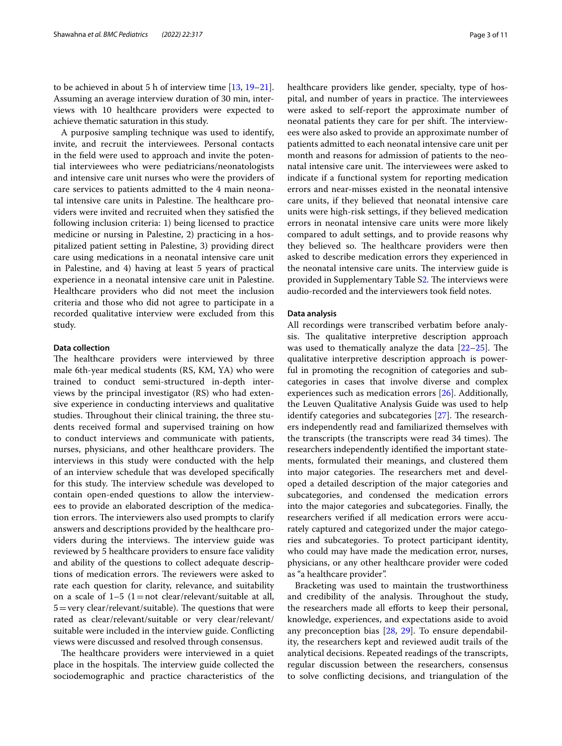to be achieved in about 5 h of interview time [\[13](#page-9-8), [19](#page-9-16)[–21](#page-9-17)]. Assuming an average interview duration of 30 min, interviews with 10 healthcare providers were expected to achieve thematic saturation in this study.

A purposive sampling technique was used to identify, invite, and recruit the interviewees. Personal contacts in the feld were used to approach and invite the potential interviewees who were pediatricians/neonatologists and intensive care unit nurses who were the providers of care services to patients admitted to the 4 main neonatal intensive care units in Palestine. The healthcare providers were invited and recruited when they satisfed the following inclusion criteria: 1) being licensed to practice medicine or nursing in Palestine, 2) practicing in a hospitalized patient setting in Palestine, 3) providing direct care using medications in a neonatal intensive care unit in Palestine, and 4) having at least 5 years of practical experience in a neonatal intensive care unit in Palestine. Healthcare providers who did not meet the inclusion criteria and those who did not agree to participate in a recorded qualitative interview were excluded from this study.

## **Data collection**

The healthcare providers were interviewed by three male 6th-year medical students (RS, KM, YA) who were trained to conduct semi-structured in-depth interviews by the principal investigator (RS) who had extensive experience in conducting interviews and qualitative studies. Throughout their clinical training, the three students received formal and supervised training on how to conduct interviews and communicate with patients, nurses, physicians, and other healthcare providers. The interviews in this study were conducted with the help of an interview schedule that was developed specifcally for this study. The interview schedule was developed to contain open-ended questions to allow the interviewees to provide an elaborated description of the medication errors. The interviewers also used prompts to clarify answers and descriptions provided by the healthcare providers during the interviews. The interview guide was reviewed by 5 healthcare providers to ensure face validity and ability of the questions to collect adequate descriptions of medication errors. The reviewers were asked to rate each question for clarity, relevance, and suitability on a scale of  $1-5$   $(1=$  not clear/relevant/suitable at all,  $5 = \text{very clear/relevant/suitable}$ ). The questions that were rated as clear/relevant/suitable or very clear/relevant/ suitable were included in the interview guide. Conficting views were discussed and resolved through consensus.

The healthcare providers were interviewed in a quiet place in the hospitals. The interview guide collected the sociodemographic and practice characteristics of the healthcare providers like gender, specialty, type of hospital, and number of years in practice. The interviewees were asked to self-report the approximate number of neonatal patients they care for per shift. The interviewees were also asked to provide an approximate number of patients admitted to each neonatal intensive care unit per month and reasons for admission of patients to the neonatal intensive care unit. The interviewees were asked to indicate if a functional system for reporting medication errors and near-misses existed in the neonatal intensive care units, if they believed that neonatal intensive care units were high-risk settings, if they believed medication errors in neonatal intensive care units were more likely compared to adult settings, and to provide reasons why they believed so. The healthcare providers were then asked to describe medication errors they experienced in the neonatal intensive care units. The interview guide is provided in Supplementary Table S[2](#page-8-0). The interviews were audio-recorded and the interviewers took feld notes.

# **Data analysis**

All recordings were transcribed verbatim before analysis. The qualitative interpretive description approach was used to thematically analyze the data  $[22-25]$  $[22-25]$ . The qualitative interpretive description approach is powerful in promoting the recognition of categories and subcategories in cases that involve diverse and complex experiences such as medication errors [\[26\]](#page-9-20). Additionally, the Leuven Qualitative Analysis Guide was used to help identify categories and subcategories [[27](#page-9-21)]. The researchers independently read and familiarized themselves with the transcripts (the transcripts were read 34 times). The researchers independently identifed the important statements, formulated their meanings, and clustered them into major categories. The researchers met and developed a detailed description of the major categories and subcategories, and condensed the medication errors into the major categories and subcategories. Finally, the researchers verifed if all medication errors were accurately captured and categorized under the major categories and subcategories. To protect participant identity, who could may have made the medication error, nurses, physicians, or any other healthcare provider were coded as "a healthcare provider".

Bracketing was used to maintain the trustworthiness and credibility of the analysis. Throughout the study, the researchers made all eforts to keep their personal, knowledge, experiences, and expectations aside to avoid any preconception bias [\[28,](#page-9-22) [29\]](#page-9-23). To ensure dependability, the researchers kept and reviewed audit trails of the analytical decisions. Repeated readings of the transcripts, regular discussion between the researchers, consensus to solve conficting decisions, and triangulation of the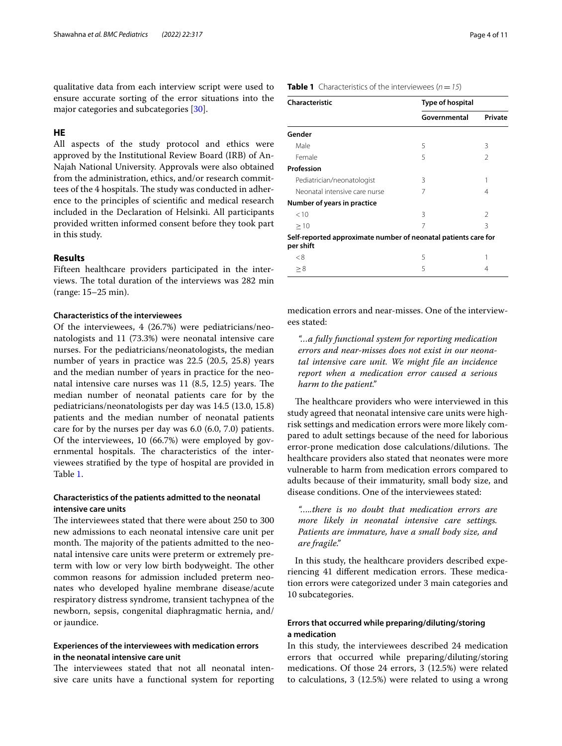qualitative data from each interview script were used to ensure accurate sorting of the error situations into the major categories and subcategories [\[30](#page-9-24)].

# **HE**

All aspects of the study protocol and ethics were approved by the Institutional Review Board (IRB) of An-Najah National University. Approvals were also obtained from the administration, ethics, and/or research committees of the 4 hospitals. The study was conducted in adherence to the principles of scientifc and medical research included in the Declaration of Helsinki. All participants provided written informed consent before they took part in this study.

# **Results**

Fifteen healthcare providers participated in the interviews. The total duration of the interviews was 282 min (range: 15–25 min).

# **Characteristics of the interviewees**

Of the interviewees, 4 (26.7%) were pediatricians/neonatologists and 11 (73.3%) were neonatal intensive care nurses. For the pediatricians/neonatologists, the median number of years in practice was 22.5 (20.5, 25.8) years and the median number of years in practice for the neonatal intensive care nurses was  $11$   $(8.5, 12.5)$  years. The median number of neonatal patients care for by the pediatricians/neonatologists per day was 14.5 (13.0, 15.8) patients and the median number of neonatal patients care for by the nurses per day was 6.0 (6.0, 7.0) patients. Of the interviewees, 10 (66.7%) were employed by governmental hospitals. The characteristics of the interviewees stratifed by the type of hospital are provided in Table [1](#page-3-0).

# **Characteristics of the patients admitted to the neonatal intensive care units**

The interviewees stated that there were about 250 to 300 new admissions to each neonatal intensive care unit per month. The majority of the patients admitted to the neonatal intensive care units were preterm or extremely preterm with low or very low birth bodyweight. The other common reasons for admission included preterm neonates who developed hyaline membrane disease/acute respiratory distress syndrome, transient tachypnea of the newborn, sepsis, congenital diaphragmatic hernia, and/ or jaundice.

# **Experiences of the interviewees with medication errors in the neonatal intensive care unit**

The interviewees stated that not all neonatal intensive care units have a functional system for reporting

# <span id="page-3-0"></span>**Table 1** Characteristics of the interviewees  $(n = 15)$

| Characteristic                                                              | Type of hospital |               |
|-----------------------------------------------------------------------------|------------------|---------------|
|                                                                             | Governmental     | Private       |
| Gender                                                                      |                  |               |
| Male                                                                        | 5                | 3             |
| Female                                                                      | 5                | $\mathcal{P}$ |
| Profession                                                                  |                  |               |
| Pediatrician/neonatologist                                                  | 3                |               |
| Neonatal intensive care nurse                                               | 7                | 4             |
| Number of years in practice                                                 |                  |               |
| < 10                                                                        | ζ                | $\mathcal{P}$ |
| >10                                                                         | 7                | 3             |
| Self-reported approximate number of neonatal patients care for<br>per shift |                  |               |
| < 8                                                                         | 5                |               |
| > 8                                                                         | 5                | 4             |

medication errors and near-misses. One of the interviewees stated:

*"…a fully functional system for reporting medication errors and near-misses does not exist in our neonatal intensive care unit. We might fle an incidence report when a medication error caused a serious harm to the patient."*

The healthcare providers who were interviewed in this study agreed that neonatal intensive care units were highrisk settings and medication errors were more likely compared to adult settings because of the need for laborious error-prone medication dose calculations/dilutions. The healthcare providers also stated that neonates were more vulnerable to harm from medication errors compared to adults because of their immaturity, small body size, and disease conditions. One of the interviewees stated:

*"…..there is no doubt that medication errors are more likely in neonatal intensive care settings. Patients are immature, have a small body size, and are fragile."*

In this study, the healthcare providers described experiencing 41 different medication errors. These medication errors were categorized under 3 main categories and 10 subcategories.

# **Errors that occurred while preparing/diluting/storing a medication**

In this study, the interviewees described 24 medication errors that occurred while preparing/diluting/storing medications. Of those 24 errors, 3 (12.5%) were related to calculations, 3 (12.5%) were related to using a wrong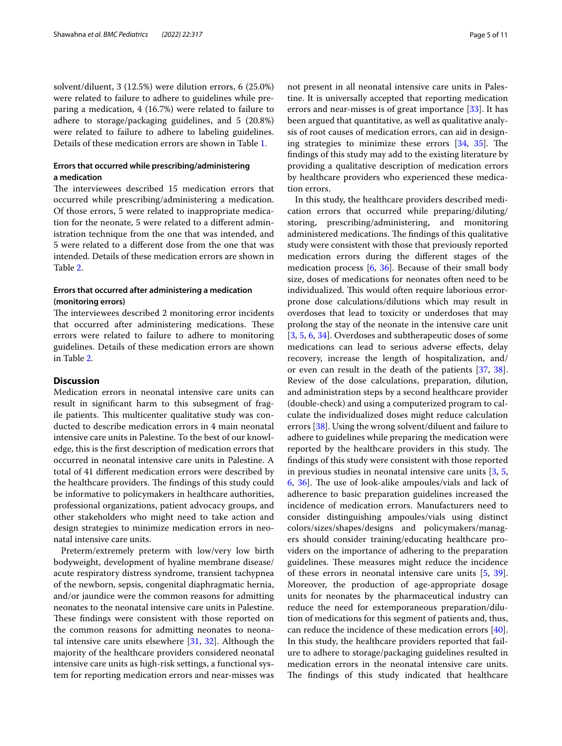solvent/diluent, 3 (12.5%) were dilution errors, 6 (25.0%) were related to failure to adhere to guidelines while preparing a medication, 4 (16.7%) were related to failure to adhere to storage/packaging guidelines, and 5 (20.8%) were related to failure to adhere to labeling guidelines. Details of these medication errors are shown in Table [1.](#page-3-0)

# **Errors that occurred while prescribing/administering a medication**

The interviewees described 15 medication errors that occurred while prescribing/administering a medication. Of those errors, 5 were related to inappropriate medication for the neonate, 5 were related to a diferent administration technique from the one that was intended, and 5 were related to a diferent dose from the one that was intended. Details of these medication errors are shown in Table [2](#page-5-0).

# **Errors that occurred after administering a medication (monitoring errors)**

The interviewees described 2 monitoring error incidents that occurred after administering medications. These errors were related to failure to adhere to monitoring guidelines. Details of these medication errors are shown in Table [2](#page-5-0).

# **Discussion**

Medication errors in neonatal intensive care units can result in signifcant harm to this subsegment of fragile patients. This multicenter qualitative study was conducted to describe medication errors in 4 main neonatal intensive care units in Palestine. To the best of our knowledge, this is the frst description of medication errors that occurred in neonatal intensive care units in Palestine. A total of 41 diferent medication errors were described by the healthcare providers. The findings of this study could be informative to policymakers in healthcare authorities, professional organizations, patient advocacy groups, and other stakeholders who might need to take action and design strategies to minimize medication errors in neonatal intensive care units.

Preterm/extremely preterm with low/very low birth bodyweight, development of hyaline membrane disease/ acute respiratory distress syndrome, transient tachypnea of the newborn, sepsis, congenital diaphragmatic hernia, and/or jaundice were the common reasons for admitting neonates to the neonatal intensive care units in Palestine. These findings were consistent with those reported on the common reasons for admitting neonates to neonatal intensive care units elsewhere [\[31](#page-9-25), [32\]](#page-9-26). Although the majority of the healthcare providers considered neonatal intensive care units as high-risk settings, a functional system for reporting medication errors and near-misses was not present in all neonatal intensive care units in Palestine. It is universally accepted that reporting medication errors and near-misses is of great importance [[33\]](#page-9-27). It has been argued that quantitative, as well as qualitative analysis of root causes of medication errors, can aid in designing strategies to minimize these errors  $[34, 35]$  $[34, 35]$  $[34, 35]$  $[34, 35]$ . The fndings of this study may add to the existing literature by providing a qualitative description of medication errors by healthcare providers who experienced these medication errors.

In this study, the healthcare providers described medication errors that occurred while preparing/diluting/ storing, prescribing/administering, and monitoring administered medications. The findings of this qualitative study were consistent with those that previously reported medication errors during the diferent stages of the medication process [[6,](#page-9-4) [36\]](#page-9-30). Because of their small body size, doses of medications for neonates often need to be individualized. This would often require laborious errorprone dose calculations/dilutions which may result in overdoses that lead to toxicity or underdoses that may prolong the stay of the neonate in the intensive care unit [[3,](#page-9-2) [5](#page-9-3), [6](#page-9-4), [34\]](#page-9-28). Overdoses and subtherapeutic doses of some medications can lead to serious adverse efects, delay recovery, increase the length of hospitalization, and/ or even can result in the death of the patients [[37](#page-9-31), [38](#page-9-32)]. Review of the dose calculations, preparation, dilution, and administration steps by a second healthcare provider (double-check) and using a computerized program to calculate the individualized doses might reduce calculation errors [[38\]](#page-9-32). Using the wrong solvent/diluent and failure to adhere to guidelines while preparing the medication were reported by the healthcare providers in this study. The fndings of this study were consistent with those reported in previous studies in neonatal intensive care units [\[3](#page-9-2), [5](#page-9-3), [6,](#page-9-4) [36](#page-9-30)]. The use of look-alike ampoules/vials and lack of adherence to basic preparation guidelines increased the incidence of medication errors. Manufacturers need to consider distinguishing ampoules/vials using distinct colors/sizes/shapes/designs and policymakers/managers should consider training/educating healthcare providers on the importance of adhering to the preparation guidelines. These measures might reduce the incidence of these errors in neonatal intensive care units [\[5](#page-9-3), [39](#page-9-33)]. Moreover, the production of age-appropriate dosage units for neonates by the pharmaceutical industry can reduce the need for extemporaneous preparation/dilution of medications for this segment of patients and, thus, can reduce the incidence of these medication errors [\[40](#page-9-34)]. In this study, the healthcare providers reported that failure to adhere to storage/packaging guidelines resulted in medication errors in the neonatal intensive care units. The findings of this study indicated that healthcare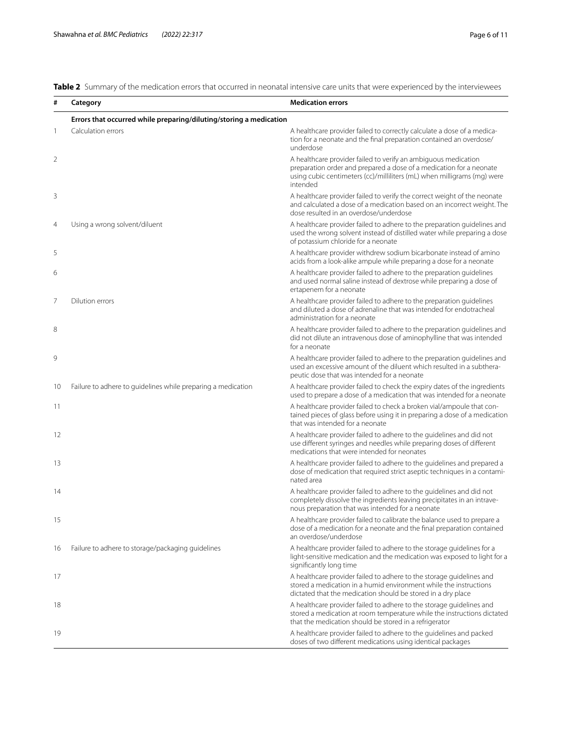<span id="page-5-0"></span>**Table 2** Summary of the medication errors that occurred in neonatal intensive care units that were experienced by the interviewees

| #  | Category                                                           | <b>Medication errors</b>                                                                                                                                                                                                     |
|----|--------------------------------------------------------------------|------------------------------------------------------------------------------------------------------------------------------------------------------------------------------------------------------------------------------|
|    | Errors that occurred while preparing/diluting/storing a medication |                                                                                                                                                                                                                              |
| 1  | Calculation errors                                                 | A healthcare provider failed to correctly calculate a dose of a medica-<br>tion for a neonate and the final preparation contained an overdose/<br>underdose                                                                  |
| 2  |                                                                    | A healthcare provider failed to verify an ambiguous medication<br>preparation order and prepared a dose of a medication for a neonate<br>using cubic centimeters (cc)/milliliters (mL) when milligrams (mg) were<br>intended |
| 3  |                                                                    | A healthcare provider failed to verify the correct weight of the neonate<br>and calculated a dose of a medication based on an incorrect weight. The<br>dose resulted in an overdose/underdose                                |
| 4  | Using a wrong solvent/diluent                                      | A healthcare provider failed to adhere to the preparation guidelines and<br>used the wrong solvent instead of distilled water while preparing a dose<br>of potassium chloride for a neonate                                  |
| 5  |                                                                    | A healthcare provider withdrew sodium bicarbonate instead of amino<br>acids from a look-alike ampule while preparing a dose for a neonate                                                                                    |
| 6  |                                                                    | A healthcare provider failed to adhere to the preparation quidelines<br>and used normal saline instead of dextrose while preparing a dose of<br>ertapenem for a neonate                                                      |
| 7  | Dilution errors                                                    | A healthcare provider failed to adhere to the preparation guidelines<br>and diluted a dose of adrenaline that was intended for endotracheal<br>administration for a neonate                                                  |
| 8  |                                                                    | A healthcare provider failed to adhere to the preparation guidelines and<br>did not dilute an intravenous dose of aminophylline that was intended<br>for a neonate                                                           |
| 9  |                                                                    | A healthcare provider failed to adhere to the preparation guidelines and<br>used an excessive amount of the diluent which resulted in a subthera-<br>peutic dose that was intended for a neonate                             |
| 10 | Failure to adhere to guidelines while preparing a medication       | A healthcare provider failed to check the expiry dates of the ingredients<br>used to prepare a dose of a medication that was intended for a neonate                                                                          |
| 11 |                                                                    | A healthcare provider failed to check a broken vial/ampoule that con-<br>tained pieces of glass before using it in preparing a dose of a medication<br>that was intended for a neonate                                       |
| 12 |                                                                    | A healthcare provider failed to adhere to the guidelines and did not<br>use different syringes and needles while preparing doses of different<br>medications that were intended for neonates                                 |
| 13 |                                                                    | A healthcare provider failed to adhere to the guidelines and prepared a<br>dose of medication that required strict aseptic techniques in a contami-<br>nated area                                                            |
| 14 |                                                                    | A healthcare provider failed to adhere to the quidelines and did not<br>completely dissolve the ingredients leaving precipitates in an intrave-<br>nous preparation that was intended for a neonate                          |
| 15 |                                                                    | A healthcare provider failed to calibrate the balance used to prepare a<br>dose of a medication for a neonate and the final preparation contained<br>an overdose/underdose                                                   |
| 16 | Failure to adhere to storage/packaging guidelines                  | A healthcare provider failed to adhere to the storage guidelines for a<br>light-sensitive medication and the medication was exposed to light for a<br>significantly long time                                                |
| 17 |                                                                    | A healthcare provider failed to adhere to the storage guidelines and<br>stored a medication in a humid environment while the instructions<br>dictated that the medication should be stored in a dry place                    |
| 18 |                                                                    | A healthcare provider failed to adhere to the storage guidelines and<br>stored a medication at room temperature while the instructions dictated<br>that the medication should be stored in a refrigerator                    |
| 19 |                                                                    | A healthcare provider failed to adhere to the quidelines and packed<br>doses of two different medications using identical packages                                                                                           |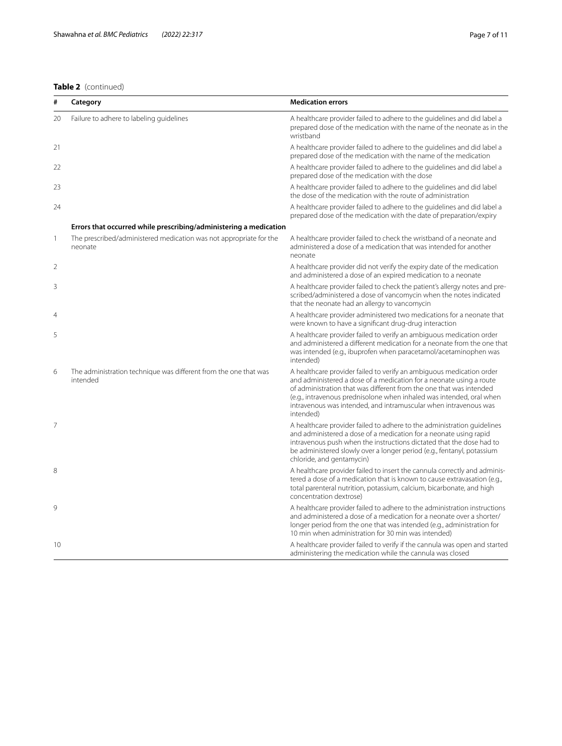# **Table 2** (continued)

| #              | Category                                                                      | <b>Medication errors</b>                                                                                                                                                                                                                                                                                                                                                    |
|----------------|-------------------------------------------------------------------------------|-----------------------------------------------------------------------------------------------------------------------------------------------------------------------------------------------------------------------------------------------------------------------------------------------------------------------------------------------------------------------------|
| 20             | Failure to adhere to labeling guidelines                                      | A healthcare provider failed to adhere to the guidelines and did label a<br>prepared dose of the medication with the name of the neonate as in the<br>wristband                                                                                                                                                                                                             |
| 21             |                                                                               | A healthcare provider failed to adhere to the guidelines and did label a<br>prepared dose of the medication with the name of the medication                                                                                                                                                                                                                                 |
| 22             |                                                                               | A healthcare provider failed to adhere to the quidelines and did label a<br>prepared dose of the medication with the dose                                                                                                                                                                                                                                                   |
| 23             |                                                                               | A healthcare provider failed to adhere to the guidelines and did label<br>the dose of the medication with the route of administration                                                                                                                                                                                                                                       |
| 24             |                                                                               | A healthcare provider failed to adhere to the guidelines and did label a<br>prepared dose of the medication with the date of preparation/expiry                                                                                                                                                                                                                             |
|                | Errors that occurred while prescribing/administering a medication             |                                                                                                                                                                                                                                                                                                                                                                             |
| 1              | The prescribed/administered medication was not appropriate for the<br>neonate | A healthcare provider failed to check the wristband of a neonate and<br>administered a dose of a medication that was intended for another<br>neonate                                                                                                                                                                                                                        |
| $\overline{2}$ |                                                                               | A healthcare provider did not verify the expiry date of the medication<br>and administered a dose of an expired medication to a neonate                                                                                                                                                                                                                                     |
| 3              |                                                                               | A healthcare provider failed to check the patient's allergy notes and pre-<br>scribed/administered a dose of vancomycin when the notes indicated<br>that the neonate had an allergy to vancomycin                                                                                                                                                                           |
| 4              |                                                                               | A healthcare provider administered two medications for a neonate that<br>were known to have a significant drug-drug interaction                                                                                                                                                                                                                                             |
| 5              |                                                                               | A healthcare provider failed to verify an ambiguous medication order<br>and administered a different medication for a neonate from the one that<br>was intended (e.g., ibuprofen when paracetamol/acetaminophen was<br>intended)                                                                                                                                            |
| 6              | The administration technique was different from the one that was<br>intended  | A healthcare provider failed to verify an ambiguous medication order<br>and administered a dose of a medication for a neonate using a route<br>of administration that was different from the one that was intended<br>(e.g., intravenous prednisolone when inhaled was intended, oral when<br>intravenous was intended, and intramuscular when intravenous was<br>intended) |
| 7              |                                                                               | A healthcare provider failed to adhere to the administration quidelines<br>and administered a dose of a medication for a neonate using rapid<br>intravenous push when the instructions dictated that the dose had to<br>be administered slowly over a longer period (e.g., fentanyl, potassium<br>chloride, and gentamycin)                                                 |
| 8              |                                                                               | A healthcare provider failed to insert the cannula correctly and adminis-<br>tered a dose of a medication that is known to cause extravasation (e.g.,<br>total parenteral nutrition, potassium, calcium, bicarbonate, and high<br>concentration dextrose)                                                                                                                   |
| 9              |                                                                               | A healthcare provider failed to adhere to the administration instructions<br>and administered a dose of a medication for a neonate over a shorter/<br>longer period from the one that was intended (e.g., administration for<br>10 min when administration for 30 min was intended)                                                                                         |
| 10             |                                                                               | A healthcare provider failed to verify if the cannula was open and started<br>administering the medication while the cannula was closed                                                                                                                                                                                                                                     |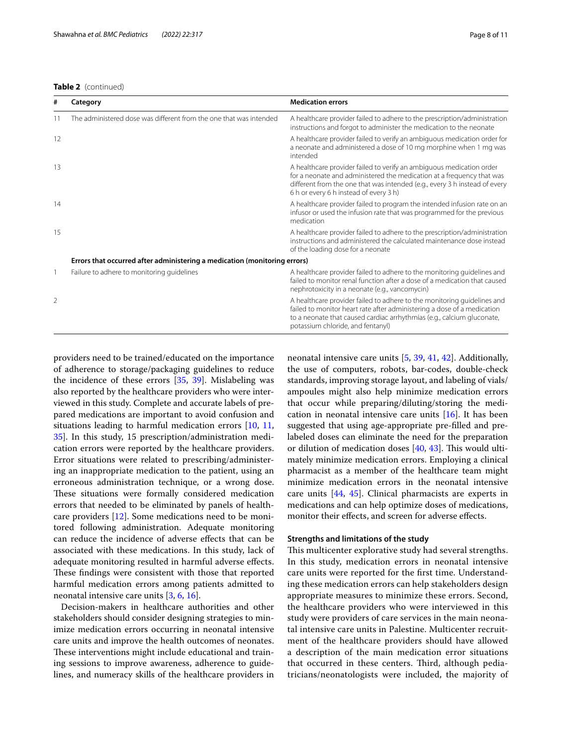# **Table 2** (continued)

| #              | Category                                                                  | <b>Medication errors</b>                                                                                                                                                                                                                                              |  |  |
|----------------|---------------------------------------------------------------------------|-----------------------------------------------------------------------------------------------------------------------------------------------------------------------------------------------------------------------------------------------------------------------|--|--|
| 11             | The administered dose was different from the one that was intended        | A healthcare provider failed to adhere to the prescription/administration<br>instructions and forgot to administer the medication to the neonate                                                                                                                      |  |  |
| 12             |                                                                           | A healthcare provider failed to verify an ambiguous medication order for<br>a neonate and administered a dose of 10 mg morphine when 1 mg was<br>intended                                                                                                             |  |  |
| 13             |                                                                           | A healthcare provider failed to verify an ambiguous medication order<br>for a neonate and administered the medication at a frequency that was<br>different from the one that was intended (e.g., every 3 h instead of every<br>6 h or every 6 h instead of every 3 h) |  |  |
| 14             |                                                                           | A healthcare provider failed to program the intended infusion rate on an<br>infusor or used the infusion rate that was programmed for the previous<br>medication                                                                                                      |  |  |
| 15             |                                                                           | A healthcare provider failed to adhere to the prescription/administration<br>instructions and administered the calculated maintenance dose instead<br>of the loading dose for a neonate                                                                               |  |  |
|                | Errors that occurred after administering a medication (monitoring errors) |                                                                                                                                                                                                                                                                       |  |  |
|                | Failure to adhere to monitoring guidelines                                | A healthcare provider failed to adhere to the monitoring guidelines and<br>failed to monitor renal function after a dose of a medication that caused<br>nephrotoxicity in a neonate (e.g., vancomycin)                                                                |  |  |
| $\overline{2}$ |                                                                           | A healthcare provider failed to adhere to the monitoring guidelines and<br>failed to monitor heart rate after administering a dose of a medication<br>to a neonate that caused cardiac arrhythmias (e.g., calcium gluconate,<br>potassium chloride, and fentanyl)     |  |  |

providers need to be trained/educated on the importance of adherence to storage/packaging guidelines to reduce the incidence of these errors [[35](#page-9-29), [39\]](#page-9-33). Mislabeling was also reported by the healthcare providers who were interviewed in this study. Complete and accurate labels of prepared medications are important to avoid confusion and situations leading to harmful medication errors [[10,](#page-9-7) [11](#page-9-35), [35\]](#page-9-29). In this study, 15 prescription/administration medication errors were reported by the healthcare providers. Error situations were related to prescribing/administering an inappropriate medication to the patient, using an erroneous administration technique, or a wrong dose. These situations were formally considered medication errors that needed to be eliminated by panels of healthcare providers [[12](#page-9-9)]. Some medications need to be monitored following administration. Adequate monitoring can reduce the incidence of adverse efects that can be associated with these medications. In this study, lack of adequate monitoring resulted in harmful adverse efects. These findings were consistent with those that reported harmful medication errors among patients admitted to neonatal intensive care units [[3,](#page-9-2) [6](#page-9-4), [16](#page-9-12)].

Decision-makers in healthcare authorities and other stakeholders should consider designing strategies to minimize medication errors occurring in neonatal intensive care units and improve the health outcomes of neonates. These interventions might include educational and training sessions to improve awareness, adherence to guidelines, and numeracy skills of the healthcare providers in neonatal intensive care units [[5,](#page-9-3) [39](#page-9-33), [41](#page-9-36), [42](#page-9-37)]. Additionally, the use of computers, robots, bar-codes, double-check standards, improving storage layout, and labeling of vials/ ampoules might also help minimize medication errors that occur while preparing/diluting/storing the medication in neonatal intensive care units  $[16]$  $[16]$  $[16]$ . It has been suggested that using age-appropriate pre-flled and prelabeled doses can eliminate the need for the preparation or dilution of medication doses [[40,](#page-9-34) [43\]](#page-9-38). This would ultimately minimize medication errors. Employing a clinical pharmacist as a member of the healthcare team might minimize medication errors in the neonatal intensive care units [\[44,](#page-10-0) [45](#page-10-1)]. Clinical pharmacists are experts in medications and can help optimize doses of medications, monitor their efects, and screen for adverse efects.

# **Strengths and limitations of the study**

This multicenter explorative study had several strengths. In this study, medication errors in neonatal intensive care units were reported for the frst time. Understanding these medication errors can help stakeholders design appropriate measures to minimize these errors. Second, the healthcare providers who were interviewed in this study were providers of care services in the main neonatal intensive care units in Palestine. Multicenter recruitment of the healthcare providers should have allowed a description of the main medication error situations that occurred in these centers. Third, although pediatricians/neonatologists were included, the majority of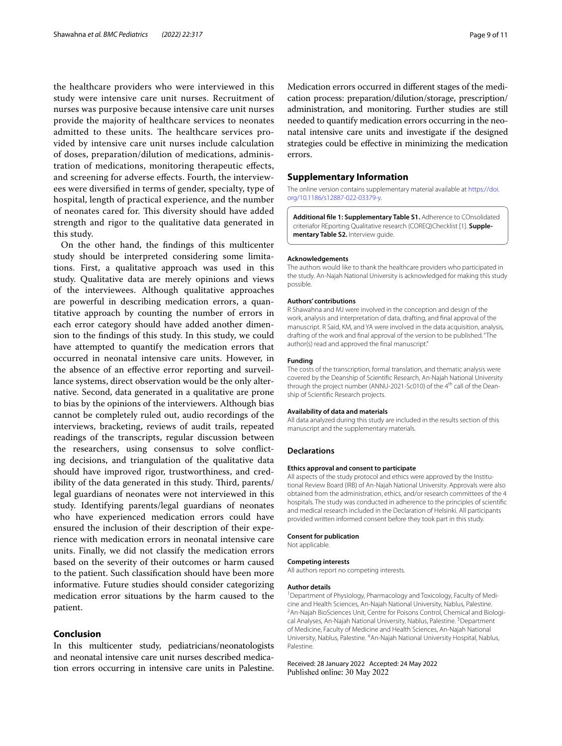the healthcare providers who were interviewed in this study were intensive care unit nurses. Recruitment of nurses was purposive because intensive care unit nurses provide the majority of healthcare services to neonates admitted to these units. The healthcare services provided by intensive care unit nurses include calculation of doses, preparation/dilution of medications, administration of medications, monitoring therapeutic efects, and screening for adverse efects. Fourth, the interviewees were diversifed in terms of gender, specialty, type of hospital, length of practical experience, and the number of neonates cared for. This diversity should have added strength and rigor to the qualitative data generated in this study.

On the other hand, the fndings of this multicenter study should be interpreted considering some limitations. First, a qualitative approach was used in this study. Qualitative data are merely opinions and views of the interviewees. Although qualitative approaches are powerful in describing medication errors, a quantitative approach by counting the number of errors in each error category should have added another dimension to the fndings of this study. In this study, we could have attempted to quantify the medication errors that occurred in neonatal intensive care units. However, in the absence of an efective error reporting and surveillance systems, direct observation would be the only alternative. Second, data generated in a qualitative are prone to bias by the opinions of the interviewers. Although bias cannot be completely ruled out, audio recordings of the interviews, bracketing, reviews of audit trails, repeated readings of the transcripts, regular discussion between the researchers, using consensus to solve conficting decisions, and triangulation of the qualitative data should have improved rigor, trustworthiness, and credibility of the data generated in this study. Third, parents/ legal guardians of neonates were not interviewed in this study. Identifying parents/legal guardians of neonates who have experienced medication errors could have ensured the inclusion of their description of their experience with medication errors in neonatal intensive care units. Finally, we did not classify the medication errors based on the severity of their outcomes or harm caused to the patient. Such classifcation should have been more informative. Future studies should consider categorizing medication error situations by the harm caused to the patient.

# **Conclusion**

In this multicenter study, pediatricians/neonatologists and neonatal intensive care unit nurses described medication errors occurring in intensive care units in Palestine. Medication errors occurred in diferent stages of the medication process: preparation/dilution/storage, prescription/ administration, and monitoring. Further studies are still needed to quantify medication errors occurring in the neonatal intensive care units and investigate if the designed strategies could be efective in minimizing the medication errors.

## **Supplementary Information**

The online version contains supplementary material available at [https://doi.](https://doi.org/10.1186/s12887-022-03379-y) [org/10.1186/s12887-022-03379-y.](https://doi.org/10.1186/s12887-022-03379-y)

<span id="page-8-0"></span>**Additional fle 1: Supplementary Table S1.** Adherence to COnsolidated criteriafor REporting Qualitative research (COREQ)Checklist [1]. **Supplementary Table S2.** Interview guide.

### **Acknowledgements**

The authors would like to thank the healthcare providers who participated in the study. An-Najah National University is acknowledged for making this study possible.

## **Authors' contributions**

R Shawahna and MJ were involved in the conception and design of the work, analysis and interpretation of data, drafting, and fnal approval of the manuscript. R Said, KM, and YA were involved in the data acquisition, analysis, drafting of the work and fnal approval of the version to be published."The author(s) read and approved the fnal manuscript."

## **Funding**

The costs of the transcription, formal translation, and thematic analysis were covered by the Deanship of Scientifc Research, An-Najah National University through the project number (ANNU-2021-Sc010) of the 4<sup>th</sup> call of the Deanship of Scientifc Research projects.

## **Availability of data and materials**

All data analyzed during this study are included in the results section of this manuscript and the supplementary materials.

### **Declarations**

## **Ethics approval and consent to participate**

All aspects of the study protocol and ethics were approved by the Institutional Review Board (IRB) of An-Najah National University. Approvals were also obtained from the administration, ethics, and/or research committees of the 4 hospitals. The study was conducted in adherence to the principles of scientifc and medical research included in the Declaration of Helsinki. All participants provided written informed consent before they took part in this study.

### **Consent for publication**

Not applicable.

## **Competing interests**

All authors report no competing interests.

### **Author details**

<sup>1</sup> Department of Physiology, Pharmacology and Toxicology, Faculty of Medicine and Health Sciences, An-Najah National University, Nablus, Palestine. 2 An-Najah BioSciences Unit, Centre for Poisons Control, Chemical and Biological Analyses, An-Najah National University, Nablus, Palestine. <sup>3</sup> Department of Medicine, Faculty of Medicine and Health Sciences, An-Najah National University, Nablus, Palestine. <sup>4</sup>An-Najah National University Hospital, Nablus, Palestine.

Received: 28 January 2022 Accepted: 24 May 2022Published online: 30 May 2022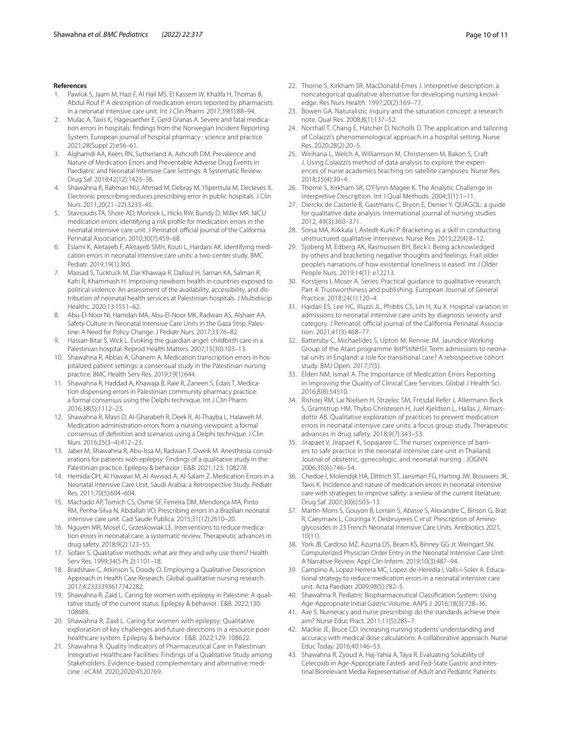## **References**

- <span id="page-9-0"></span>1. Pawluk S, Jaam M, Hazi F, Al Hail MS, El Kassem W, Khalifa H, Thomas B, Abdul Rouf P. A description of medication errors reported by pharmacists in a neonatal intensive care unit. Int J Clin Pharm. 2017;39(1):88–94.
- 2. Mulac A, Taxis K, Hagesaether E, Gerd Granas A. Severe and fatal medication errors in hospitals: fndings from the Norwegian Incident Reporting System. European journal of hospital pharmacy : science and practice. 2021;28(Suppl 2):e56–61.
- <span id="page-9-2"></span>3. Alghamdi AA, Keers RN, Sutherland A, Ashcroft DM. Prevalence and Nature of Medication Errors and Preventable Adverse Drug Events in Paediatric and Neonatal Intensive Care Settings: A Systematic Review. Drug Saf. 2019;42(12):1423–36.
- <span id="page-9-1"></span>4. Shawahna R, Rahman NU, Ahmad M, Debray M, Yliperttula M, Decleves X. Electronic prescribing reduces prescribing error in public hospitals. J Clin Nurs. 2011;20(21–22):3233–45.
- <span id="page-9-3"></span>Stavroudis TA, Shore AD, Morlock L, Hicks RW, Bundy D, Miller MR. NICU medication errors: identifying a risk profle for medication errors in the neonatal intensive care unit. J Perinatol: official journal of the California Perinatal Association. 2010;30(7):459–68.
- <span id="page-9-4"></span>6. Eslami K, Aletayeb F, Aletayeb SMH, Kouti L, Hardani AK. Identifying medication errors in neonatal intensive care units: a two-center study. BMC Pediatr. 2019;19(1):365.
- <span id="page-9-5"></span>7. Massad S, Tucktuck M, Dar Khawaja R, Dalloul H, Saman KA, Salman R, Kafri R, Khammash H. Improving newborn health in countries exposed to political violence: An assessment of the availability, accessibility, and distribution of neonatal health services at Palestinian hospitals. J Multidiscip Healthc. 2020;13:1551–62.
- <span id="page-9-15"></span>8. Abu-El-Noor NI, Hamdan MA, Abu-El-Noor MK, Radwan AS, Alshaer AA. Safety Culture in Neonatal Intensive Care Units in the Gaza Strip, Palestine: A Need for Policy Change. J Pediatr Nurs. 2017;33:76–82.
- <span id="page-9-6"></span>9. Hassan-Bitar S, Wick L. Evoking the guardian angel: childbirth care in a Palestinian hospital. Reprod Health Matters. 2007;15(30):103–13.
- <span id="page-9-7"></span>10. Shawahna R, Abbas A, Ghanem A. Medication transcription errors in hospitalized patient settings: a consensual study in the Palestinian nursing practice. BMC Health Serv Res. 2019;19(1):644.
- <span id="page-9-35"></span>11. Shawahna R, Haddad A, Khawaja B, Raie R, Zaneen S, Edais T. Medication dispensing errors in Palestinian community pharmacy practice: a formal consensus using the Delphi technique. Int J Clin Pharm. 2016;38(5):1112–23.
- <span id="page-9-9"></span>12. Shawahna R, Masri D, Al-Gharabeh R, Deek R, Al-Thayba L, Halaweh M. Medication administration errors from a nursing viewpoint: a formal consensus of defnition and scenarios using a Delphi technique. J Clin Nurs. 2016;25(3–4):412–23.
- <span id="page-9-8"></span>13. Jaber M, Shawahna R, Abu-Issa M, Radwan F, Dweik M. Anesthesia considerations for patients with epilepsy: Findings of a qualitative study in the Palestinian practice. Epilepsy & behavior : E&B. 2021;123: 108278.
- <span id="page-9-10"></span>14. Hemida OH, Al Hawawi M, Al Awwad A, Al-Salam Z. Medication Errors in a Neonatal Intensive Care Unit, Saudi Arabia: a Retrospective Study. Pediatr Res. 2011;70(5):604–604.
- <span id="page-9-11"></span>15. Machado AP, Tomich CS, Osme SF, Ferreira DM, Mendonça MA, Pinto RM, Penha-Silva N, Abdallah VO. Prescribing errors in a Brazilian neonatal intensive care unit. Cad Saude Publica. 2015;31(12):2610–20.
- <span id="page-9-12"></span>16. Nguyen MR, Mosel C, Grzeskowiak LE. Interventions to reduce medication errors in neonatal care: a systematic review. Therapeutic advances in drug safety. 2018;9(2):123–55.
- <span id="page-9-13"></span>17. Sofaer S. Qualitative methods: what are they and why use them? Health Serv Res. 1999;34(5 Pt 2):1101–18.
- <span id="page-9-14"></span>18. Bradshaw C, Atkinson S, Doody O. Employing a Qualitative Description Approach in Health Care Research. Global qualitative nursing research. 2017;4:2333393617742282.
- <span id="page-9-16"></span>19. Shawahna R, Zaid L. Caring for women with epilepsy in Palestine: A qualitative study of the current status. Epilepsy & behavior : E&B. 2022;130: 108689.
- 20. Shawahna R, Zaid L. Caring for women with epilepsy: Qualitative exploration of key challenges and future directions in a resource poor healthcare system. Epilepsy & behavior : E&B. 2022;129: 108622.
- <span id="page-9-17"></span>21. Shawahna R. Quality Indicators of Pharmaceutical Care in Palestinian Integrative Healthcare Facilities: Findings of a Qualitative Study among Stakeholders. Evidence-based complementary and alternative medicine : eCAM. 2020;2020:4520769.
- <span id="page-9-18"></span>22. Thorne S, Kirkham SR, MacDonald-Emes J. Interpretive description: a noncategorical qualitative alternative for developing nursing knowledge. Res Nurs Health. 1997;20(2):169–77.
- 23. Bowen GA. Naturalistic inquiry and the saturation concept: a research note. Qual Res. 2008;8(1):137–52.
- 24. Northall T, Chang E, Hatcher D, Nicholls D. The application and tailoring of Colaizzi's phenomenological approach in a hospital setting. Nurse Res. 2020;28(2):20–5.
- <span id="page-9-19"></span>25. Wirihana L, Welch A, Williamson M, Christensen M, Bakon S, Craft J. Using Colaizzi's method of data analysis to explore the experiences of nurse academics teaching on satellite campuses. Nurse Res. 2018;25(4):30–4.
- <span id="page-9-20"></span>26. Thorne S, Kirkham SR, O'Flynn-Magee K. The Analytic Challenge in Interpretive Description. Int J Qual Methods. 2004;3(1):1–11.
- <span id="page-9-21"></span>27. Dierckx de Casterle B, Gastmans C, Bryon E, Denier Y: QUAGOL: a guide for qualitative data analysis. International journal of nursing studies 2012, 49(3):360–371.
- <span id="page-9-22"></span>28. Sorsa MA, Kiikkala I, Astedt-Kurki P. Bracketing as a skill in conducting unstructured qualitative interviews. Nurse Res. 2015;22(4):8–12.
- <span id="page-9-23"></span>29. Sjoberg M, Edberg AK, Rasmussen BH, Beck I. Being acknowledged by others and bracketing negative thoughts and feelings: Frail older people's narrations of how existential loneliness is eased. Int J Older People Nurs. 2019;14(1): e12213.
- <span id="page-9-24"></span>30. Korstjens I, Moser A. Series: Practical guidance to qualitative research. Part 4: Trustworthiness and publishing. European Journal of General Practice. 2018;24(1):120–4.
- <span id="page-9-25"></span>31. Haidari ES, Lee HC, Illuzzi JL, Phibbs CS, Lin H, Xu X. Hospital variation in admissions to neonatal intensive care units by diagnosis severity and category. J Perinatol: official journal of the California Perinatal Association. 2021;41(3):468–77.
- <span id="page-9-26"></span>32. Battersby C, Michaelides S, Upton M, Rennie JM. Jaundice Working Group of the Atain programme lbtPStiNHSI: Term admissions to neonatal units in England: a role for transitional care? A retrospective cohort study. BMJ Open. 2017;7(5).
- <span id="page-9-27"></span>33. Elden NM, Ismail A. The Importance of Medication Errors Reporting in Improving the Quality of Clinical Care Services. Global J Health Sci. 2016;8(8):54510.
- <span id="page-9-28"></span>34. Rishoej RM, Lai Nielsen H, Strzelec SM, Fritsdal Refer J, Allermann Beck S, Gramstrup HM, Thybo Christesen H, Juel Kjeldsen L, Hallas J, Almarsdottir AB. Qualitative exploration of practices to prevent medication errors in neonatal intensive care units: a focus group study. Therapeutic advances in drug safety. 2018;9(7):343–53.
- <span id="page-9-29"></span>35. Jirapaet V, Jirapaet K, Sopajaree C. The nurses' experience of barriers to safe practice in the neonatal intensive care unit in Thailand. Journal of obstetric, gynecologic, and neonatal nursing : JOGNN. 2006;35(6):746–54.
- <span id="page-9-30"></span>36. Chedoe I, Molendijk HA, Dittrich ST, Jansman FG, Harting JW, Brouwers JR, Taxis K. Incidence and nature of medication errors in neonatal intensive care with strategies to improve safety: a review of the current literature. Drug Saf. 2007;30(6):503–13.
- <span id="page-9-31"></span>37. Martin-Mons S, Gouyon B, Lorrain S, Abasse S, Alexandre C, Binson G, Brat R, Caeymaex L, Couringa Y, Desbruyeres C *et al*: Prescription of Aminoglycosides in 23 French Neonatal Intensive Care Units. Antibiotics 2021, 10(11).
- <span id="page-9-32"></span>38. York JB, Cardoso MZ, Azuma DS, Beam KS, Binney GG Jr, Weingart SN. Computerized Physician Order Entry in the Neonatal Intensive Care Unit: A Narrative Review. Appl Clin Inform. 2019;10(3):487–94.
- <span id="page-9-33"></span>39. Campino A, Lopez-Herrera MC, Lopez-de-Heredia I, Valls-i-Soler A. Educational strategy to reduce medication errors in a neonatal intensive care unit. Acta Paediatr. 2009;98(5):782–5.
- <span id="page-9-34"></span>40. Shawahna R. Pediatric Biopharmaceutical Classifcation System: Using Age-Appropriate Initial Gastric Volume. AAPS J. 2016;18(3):728–36.
- <span id="page-9-36"></span>41. Axe S. Numeracy and nurse prescribing: do the standards achieve their aim? Nurse Educ Pract. 2011;11(5):285–7.
- <span id="page-9-37"></span>42. Mackie JE, Bruce CD. Increasing nursing students' understanding and accuracy with medical dose calculations: A collaborative approach. Nurse Educ Today. 2016;40:146–53.
- <span id="page-9-38"></span>43. Shawahna R, Zyoud A, Haj-Yahia A, Taya R. Evaluating Solubility of Celecoxib in Age-Appropriate Fasted- and Fed-State Gastric and Intestinal Biorelevant Media Representative of Adult and Pediatric Patients: